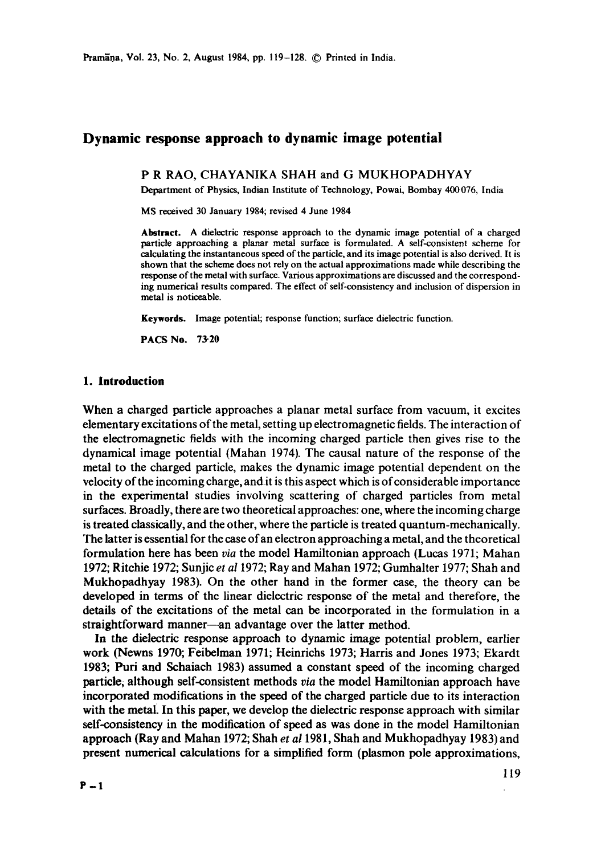# **Dynamic response approach to dynamic image potential**

P R RAO, CHAYANIKA SHAH and G MUKHOPADHYAY

Department of Physics, Indian Institute of Technology, Powai, Bombay 400 076, India

MS received 30 January 1984; revised 4 June 1984

**Abstract.** A dielectric response approach to the dynamic image potential of a charged particle approaching a planar metal surface is formulated. A self-consistent scheme for calculating the instantaneous speed of the particle, and its image potential is also derived. It is shown that the scheme does not rely on the actual approximations made while describing the response of the metal with surface. Various approximations are discussed and the corresponding numerical results compared. The effect of self-consistency and inclusion of dispersion in metal is noticeable.

**Keywords.** Image potential; response function; surface dielectric function.

PACS No. **73-20** 

#### **1. Introduction**

When a charged particle approaches a planar metal surface from vacuum, it excites elementary excitations of the metal, setting up electromagnetic fields. The interaction of the electromagnetic fields with the incoming charged particle then gives rise to the dynamical image potential (Mahan 1974). The causal nature of the response of the metal to the charged particle, makes the dynamic image potential dependent on the velocity of the incoming charge, andit is this aspect which is of considerable importance in the experimental studies involving scattering of charged particles from metal surfaces. Broadly, there are two theoretical approaches: one, where the incoming charge is treated classically, and the other, where the particle is treated quantum-mechanically. The latter is essential for the case of an electron approaching a metal, and the theoretical formulation here has been *via* the model Hamiltonian approach (Lucas 1971; Mahan 1972; Ritchie 1972; Sunjic *et a11972;* Ray and Mahan 1972; Gumhalter 1977; Shah and Mukhopadhyay 1983). On the other hand in the former case, the theory can be developed in terms of the linear dielectric response of the metal and therefore, the details of the excitations of the metal can be incorporated in the formulation in a straightforward manner--an advantage over the latter method.

In the dielectric response approach to dynamic image potential problem, earlier work (Newns 1970; Feibelman 1971; Heinrichs 1973; Harris and Jones 1973; Ekardt 1983; Puri and Schaiach 1983) assumed a constant speed of the incoming charged particle, although self-consistent methods *via* the model Hamiltonian approach have incorporated modifications in the speed of the charged particle due to its interaction with the metal. In this paper, we develop the dielectric response approach with similar self-consistency in the modification of speed as was done in the model Hamiltonian approach (Ray and Mahan 1972; Shah *et a11981,* Shah and Mukhopadhyay 1983) and present numerical calculations for a simplified form (plasmon pole approximations,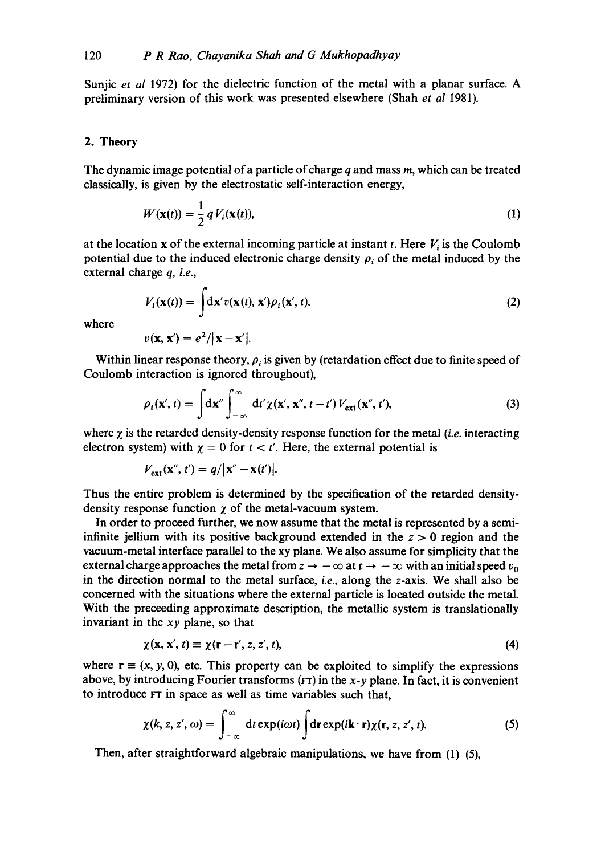Sunjic *et al* 1972) for the dielectric function of the metal with a planar surface. A preliminary version of this work was presented elsewhere (Shah *et al* 1981).

### 2. **Theory**

The dynamic image potential of a particle of charge  $q$  and mass  $m$ , which can be treated classically, is given by the electrostatic self-interaction energy,

$$
W(\mathbf{x}(t)) = \frac{1}{2} q V_i(\mathbf{x}(t)),
$$
\n(1)

at the location x of the external incoming particle at instant t. Here  $V_i$  is the Coulomb potential due to the induced electronic charge density  $\rho_i$  of the metal induced by the external charge *q, i.e.,* 

$$
V_i(\mathbf{x}(t)) = \int \! \mathrm{d}\mathbf{x}' \, v(\mathbf{x}(t), \, \mathbf{x}') \, \rho_i(\mathbf{x}', \, t), \tag{2}
$$

where

$$
v(\mathbf{x}, \mathbf{x}') = e^2/|\mathbf{x} - \mathbf{x}'|.
$$

Within linear response theory,  $\rho_i$  is given by (retardation effect due to finite speed of Coulomb interaction is ignored throughout),

$$
\rho_i(\mathbf{x}',t) = \int d\mathbf{x}'' \int_{-\infty}^{\infty} dt' \chi(\mathbf{x}', \mathbf{x}'', t-t') V_{\text{ext}}(\mathbf{x}'', t'), \qquad (3)
$$

where  $\chi$  is the retarded density-density response function for the metal *(i.e.* interacting electron system) with  $\chi = 0$  for  $t < t'$ . Here, the external potential is

$$
V_{\text{ext}}(\mathbf{x}'',t')=q/|\mathbf{x}''-\mathbf{x}(t')|.
$$

Thus the entire problem is determined by the specification of the retarded densitydensity response function  $\chi$  of the metal-vacuum system.

In order to proceed further, we now assume that the metal is represented by a semiinfinite jellium with its positive background extended in the  $z > 0$  region and the vacuum-metal interface parallel to the xy plane. We also assume for simplicity that the external charge approaches the metal from  $z \to -\infty$  at  $t \to -\infty$  with an initial speed  $v_0$ in the direction normal to the metal surface, *i.e.,* along the z-axis. We shall also be concerned with the situations where the external particle is located outside the metal. With the preceeding approximate description, the metallic system is translationally invariant in the *xy* plane, so that

$$
\chi(\mathbf{x}, \mathbf{x}', t) \equiv \chi(\mathbf{r} - \mathbf{r}', z, z', t),\tag{4}
$$

where  $\mathbf{r} \equiv (x, y, 0)$ , etc. This property can be exploited to simplify the expressions above, by introducing Fourier transforms ( $FT$ ) in the  $x-y$  plane. In fact, it is convenient to introduce rr in space as well as time variables such that,

$$
\chi(k, z, z', \omega) = \int_{-\infty}^{\infty} dt \exp(i\omega t) \int dr \exp(i\mathbf{k} \cdot \mathbf{r}) \chi(\mathbf{r}, z, z', t). \tag{5}
$$

Then, after straightforward algebraic manipulations, we have from  $(1)$ – $(5)$ ,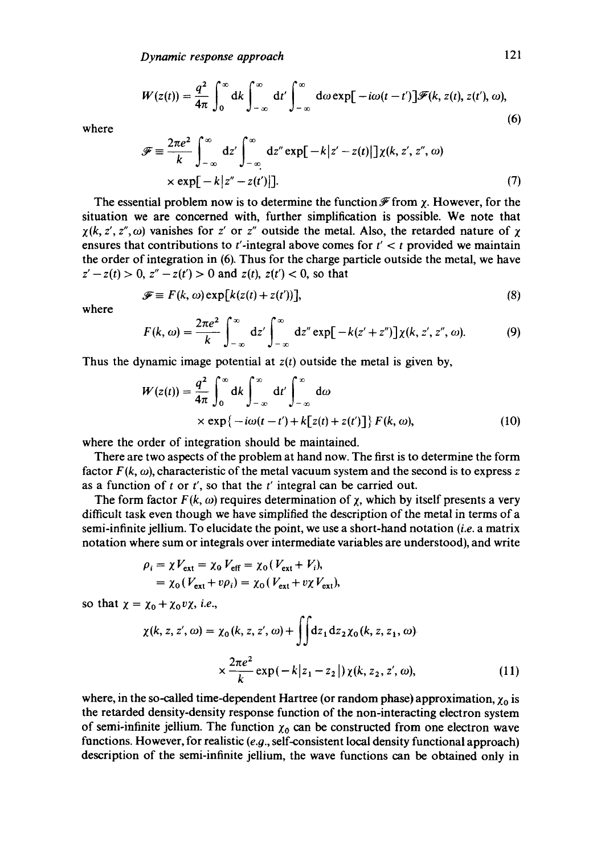$$
W(z(t)) = \frac{q^2}{4\pi} \int_0^\infty dk \int_{-\infty}^\infty dt' \int_{-\infty}^\infty d\omega \exp[-i\omega(t-t')] \mathscr{F}(k, z(t), z(t'), \omega), \tag{6}
$$

where

$$
\mathscr{F} \equiv \frac{2\pi e^2}{k} \int_{-\infty}^{\infty} dz' \int_{-\infty}^{\infty} dz'' \exp[-k|z'-z(t)|] \chi(k, z', z'', \omega)
$$
  
×  $\exp[-k|z''-z(t')|].$  (7)

The essential problem now is to determine the function  $\mathscr F$  from  $\gamma$ . However, for the situation we are concerned with, further simplification is possible. We note that  $\chi(k, z', z'', \omega)$  vanishes for z' or z'' outside the metal. Also, the retarded nature of  $\chi$ ensures that contributions to t'-integral above comes for  $t' < t$  provided we maintain the order of integration in (6). Thus for the charge particle outside the metal, we have  $z'-z(t) > 0$ ,  $z''-z(t') > 0$  and  $z(t)$ ,  $z(t') < 0$ , so that

$$
\mathcal{F} \equiv F(k, \omega) \exp[k(z(t) + z(t))], \tag{8}
$$

where

$$
F(k,\omega)=\frac{2\pi e^2}{k}\int_{-\infty}^{\infty}dz'\int_{-\infty}^{\infty}dz''\exp[-k(z'+z'')]\chi(k,z',z'',\omega). \hspace{1cm} (9)
$$

Thus the dynamic image potential at *z(t)* outside the metal is given by,

$$
W(z(t)) = \frac{q^2}{4\pi} \int_0^{\infty} dk \int_{-\infty}^{\infty} dt' \int_{-\infty}^{\infty} d\omega
$$
  
× exp{-i\omega(t - t') + k[z(t) + z(t')] } F(k, \omega), (10)

where the order of integration should be maintained.

There are two aspects of the problem at hand now. The first is to determine the form factor  $F(k, \omega)$ , characteristic of the metal vacuum system and the second is to express z as a function of  $t$  or  $t'$ , so that the  $t'$  integral can be carried out.

The form factor  $F(k, \omega)$  requires determination of  $\chi$ , which by itself presents a very difficult task even though we have simplified the description of the metal in terms of a semi-infinite jellium. To elucidate the point, we use a short-hand notation *(i.e.* a matrix notation where sum or integrals over intermediate variables are understood), and write

$$
\rho_i = \chi V_{\text{ext}} = \chi_0 V_{\text{eff}} = \chi_0 (V_{\text{ext}} + V_i),
$$
  
=  $\chi_0 (V_{\text{ext}} + v \rho_i) = \chi_0 (V_{\text{ext}} + v \chi V_{\text{ext}}),$ 

so that  $\chi = \chi_0 + \chi_0 v \chi$ , *i.e.*,

$$
\chi(k, z, z', \omega) = \chi_0(k, z, z', \omega) + \iint dz_1 dz_2 \chi_0(k, z, z_1, \omega)
$$

$$
\times \frac{2\pi e^2}{k} \exp(-k|z_1 - z_2|) \chi(k, z_2, z', \omega), \tag{11}
$$

where, in the so-called time-dependent Hartree (or random phase) approximation,  $\chi_0$  is the retarded density-density response function of the non-interacting electron system of semi-infinite jellium. The function  $\chi_0$  can be constructed from one electron wave functions. However, for realistic  $(e.g., self-consistent local density functional approach)$ description of the semi-infinite jellium, the wave functions can be obtained only in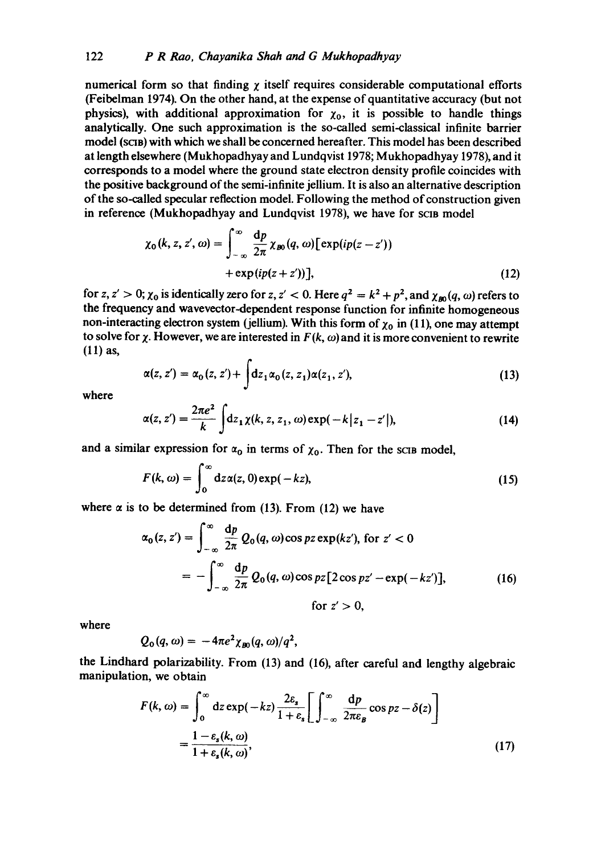numerical form so that finding  $\chi$  itself requires considerable computational efforts (Feibelman 1974). On the other hand, at the expense of quantitative accuracy (but not physics), with additional approximation for  $\chi_0$ , it is possible to handle things analytically. One such approximation is the so-called semi-classical infinite barrier model (SCIB) with which we shall be concerned hereafter. This model has been described at length elsewhere (Mukhopadhyay and Lundqvist 1978; Mukhopadhyay 1978), and it corresponds to a model where the ground state electron density profile coincides with the positive background of the semi-infinite jellium. It is also an alternative description of the so-called specular reflection model. Following the method of construction given in reference (Mukhopadhyay and Lundqvist 1978), we have for scin model

$$
\chi_0(k, z, z', \omega) = \int_{-\infty}^{\infty} \frac{dp}{2\pi} \chi_{B0}(q, \omega) [\exp(ip(z - z')) + \exp(ip(z + z')] \qquad (12)
$$

for *z*, *z'* > 0;  $\chi_0$  is identically zero for *z*, *z'* < 0. Here  $q^2 = k^2 + p^2$ , and  $\chi_{\text{m}}(q, \omega)$  refers to the frequency and wavevector-dependent response function for infinite homogeneous non-interacting electron system (jellium). With this form of  $\chi_0$  in (11), one may attempt to solve for  $\chi$ . However, we are interested in  $F(k, \omega)$  and it is more convenient to rewrite (11) as,

$$
\alpha(z, z') = \alpha_0(z, z') + \int dz_1 \alpha_0(z, z_1) \alpha(z_1, z'),
$$
\n(13)

where

$$
\alpha(z, z') = \frac{2\pi e^2}{k} \int dz_1 \chi(k, z, z_1, \omega) \exp(-k|z_1 - z'|), \tag{14}
$$

and a similar expression for  $\alpha_0$  in terms of  $\chi_0$ . Then for the scis model,

$$
F(k,\omega) = \int_0^\infty dz \alpha(z,0) \exp(-kz), \qquad (15)
$$

where  $\alpha$  is to be determined from (13). From (12) we have

$$
\alpha_0(z, z') = \int_{-\infty}^{\infty} \frac{dp}{2\pi} Q_0(q, \omega) \cos pz \exp(kz'), \text{ for } z' < 0
$$

$$
= -\int_{-\infty}^{\infty} \frac{dp}{2\pi} Q_0(q, \omega) \cos pz [2 \cos pz' - \exp(-kz')], \qquad (16)
$$

$$
\text{for } z' > 0,
$$

where

$$
Q_{\rm o}(q,\omega)=-4\pi e^2\chi_{B0}(q,\omega)/q^2,
$$

the Lindhard polarizability. From (13) and (16), after careful and lengthy algebraic manipulation, we obtain

$$
F(k, \omega) = \int_0^{\infty} dz \exp(-kz) \frac{2\varepsilon_s}{1 + \varepsilon_s} \left[ \int_{-\infty}^{\infty} \frac{dp}{2\pi\varepsilon_B} \cos pz - \delta(z) \right]
$$
  
=  $\frac{1 - \varepsilon_s(k, \omega)}{1 + \varepsilon_s(k, \omega)},$  (17)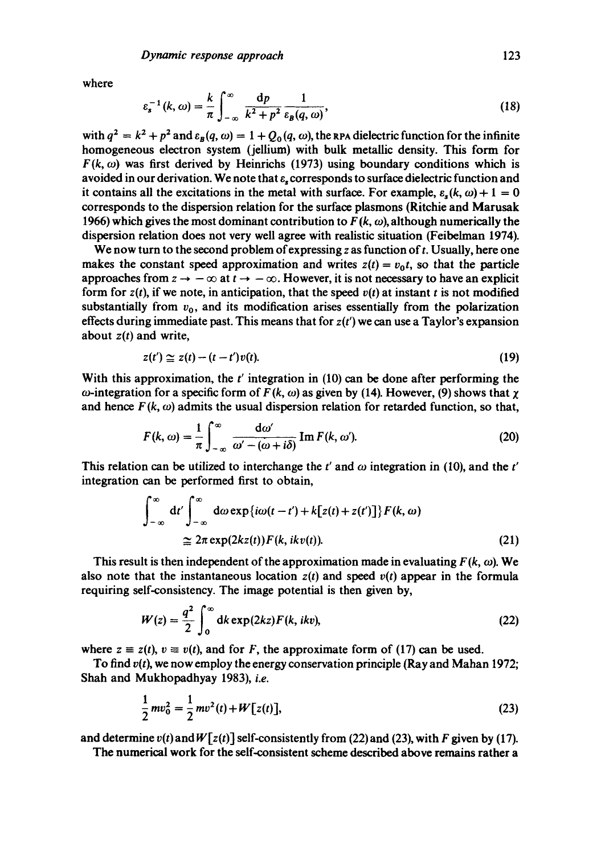where

$$
\varepsilon_s^{-1}(k,\omega) = \frac{k}{\pi} \int_{-\infty}^{\infty} \frac{\mathrm{d}p}{k^2 + p^2} \frac{1}{\varepsilon_B(q,\omega)},\tag{18}
$$

with  $q^2 = k^2 + p^2$  and  $\varepsilon_R(q, \omega) = 1 + Q_0(q, \omega)$ , the RPA dielectric function for the infinite homogeneous electron system (jellium) with bulk metallic density. This form for  $F(k, \omega)$  was first derived by Heinrichs (1973) using boundary conditions which is avoided in our derivation. We note that e, corresponds to surface dielectric function and it contains all the excitations in the metal with surface. For example,  $\varepsilon_r(k, \omega) + 1 = 0$ corresponds to the dispersion relation for the surface plasmons (Ritchie and Marusak 1966) which gives the most dominant contribution to  $F(k, \omega)$ , although numerically the dispersion relation does not very well agree with realistic situation (Feibelman 1974).

We now turn to the second problem of expressing z as function of  $t$ . Usually, here one makes the constant speed approximation and writes  $z(t) = v_0 t$ , so that the particle approaches from  $z \to -\infty$  at  $t \to -\infty$ . However, it is not necessary to have an explicit form for  $z(t)$ , if we note, in anticipation, that the speed  $v(t)$  at instant t is not modified substantially from  $v_0$ , and its modification arises essentially from the polarization effects during immediate past. This means that for *z(t')* we can use a Taylor's expansion about *z(t)* and write,

$$
z(t') \simeq z(t) - (t - t')v(t). \tag{19}
$$

With this approximation, the  $t'$  integration in (10) can be done after performing the  $\omega$ -integration for a specific form of  $F (k, \omega)$  as given by (14). However, (9) shows that  $\chi$ and hence  $F(k, \omega)$  admits the usual dispersion relation for retarded function, so that,

$$
F(k,\omega) = \frac{1}{\pi} \int_{-\infty}^{\infty} \frac{d\omega'}{\omega' - (\omega + i\delta)} \operatorname{Im} F(k,\omega').
$$
 (20)

This relation can be utilized to interchange the  $t'$  and  $\omega$  integration in (10), and the  $t'$ integration can be performed first to obtain,

$$
\int_{-\infty}^{\infty} dt' \int_{-\infty}^{\infty} d\omega \exp\{i\omega(t-t') + k[z(t) + z(t')] \} F(k, \omega)
$$
  
 
$$
\approx 2\pi \exp(2kz(t)) F(k, i k v(t)).
$$
 (21)

This result is then independent of the approximation made in evaluating  $F(k, \omega)$ . We also note that the instantaneous location  $z(t)$  and speed  $v(t)$  appear in the formula requiring self-consistency. The image potential is then given by,

$$
W(z) = \frac{q^2}{2} \int_0^\infty dk \exp(2kz) F(k, ikv), \qquad (22)
$$

where  $z \equiv z(t)$ ,  $v \equiv v(t)$ , and for F, the approximate form of (17) can be used.

To find *v(t),* we now employ the energy conservation principle (Ray and Mahan 1972; Shah and Mukhopadhyay 1983), *i.e.* 

$$
\frac{1}{2}mv_0^2 = \frac{1}{2}mv^2(t) + W[z(t)],
$$
\n(23)

and determine  $v(t)$  and  $W[z(t)]$  self-consistently from (22) and (23), with F given by (17).

The numerical work for the self-consistent scheme described above remains rather a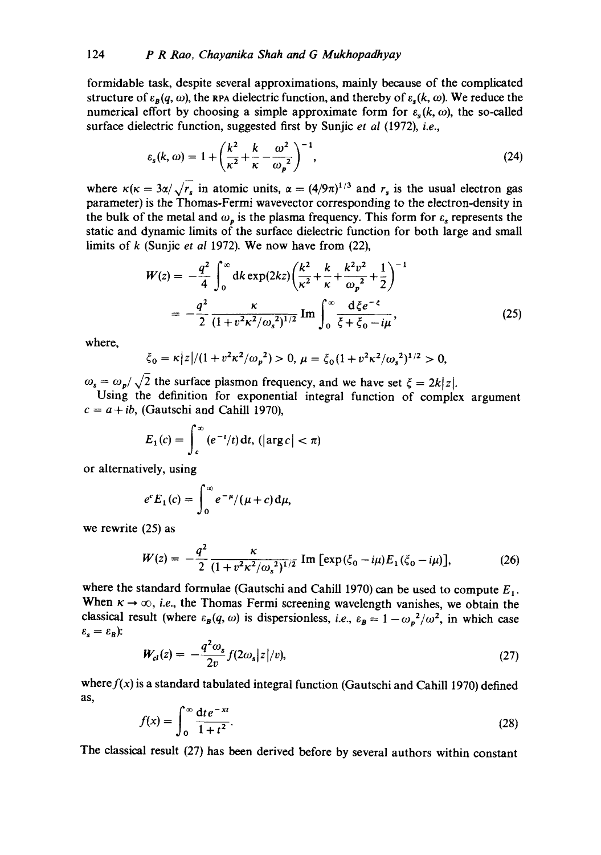formidable task, despite several approximations, mainly because of the complicated structure of  $\varepsilon_B(q, \omega)$ , the RPA dielectric function, and thereby of  $\varepsilon_s(k, \omega)$ . We reduce the numerical effort by choosing a simple approximate form for  $\varepsilon_{\rm s}(k,\omega)$ , the so-called surface dielectric function, suggested first by Sunjic *et al* (1972), *i.e.,* 

$$
\varepsilon_{s}(k,\omega) = 1 + \left(\frac{k^2}{\kappa^2} + \frac{k}{\kappa} - \frac{\omega^2}{\omega_p^2}\right)^{-1},\tag{24}
$$

where  $\kappa(\kappa = 3\alpha/\sqrt{r_s}$  in atomic units,  $\alpha = (4/9\pi)^{1/3}$  and  $r_s$  is the usual electron gas parameter) is the Thomas-Fermi wavevector corresponding to the electron-density in the bulk of the metal and  $\omega_p$  is the plasma frequency. This form for  $\varepsilon_s$  represents the static and dynamic limits of the surface dielectric function for both large and small limits of k (Sunjic *et al* 1972). We now have from (22),

$$
W(z) = -\frac{q^2}{4} \int_0^\infty dk \exp(2kz) \left(\frac{k^2}{\kappa^2} + \frac{k}{\kappa} + \frac{k^2 v^2}{\omega_p^2} + \frac{1}{2}\right)^{-1}
$$
  
= 
$$
-\frac{q^2}{2} \frac{\kappa}{(1 + v^2 \kappa^2/\omega_s^2)^{1/2}} \operatorname{Im} \int_0^\infty \frac{d\xi e^{-\xi}}{\xi + \xi_0 - i\mu},
$$
 (25)

where,

$$
\xi_0 = \kappa |z|/(1 + v^2 \kappa^2/\omega_p^2) > 0, \ \mu = \xi_0 (1 + v^2 \kappa^2/\omega_s^2)^{1/2} > 0,
$$

 $\omega_s = \omega_p/\sqrt{2}$  the surface plasmon frequency, and we have set  $\zeta = 2k|z|$ .

Using the definition for exponential integral function of complex argument  $c = a + ib$ , (Gautschi and Cahill 1970),

$$
E_1(c) = \int_c^{\infty} (e^{-t}/t) dt, \left( |\arg c| < \pi \right)
$$

or alternatively, using

$$
e^c E_1(c) = \int_0^\infty e^{-\mu}/(\mu + c) d\mu,
$$

we rewrite (25) as

$$
W(z) = -\frac{q^2}{2} \frac{\kappa}{(1 + v^2 \kappa^2 / \omega_s^2)^{1/2}} \operatorname{Im} \left[ \exp(\xi_0 - i\mu) E_1(\xi_0 - i\mu) \right],\tag{26}
$$

where the standard formulae (Gautschi and Cahill 1970) can be used to compute  $E_1$ . When  $\kappa \to \infty$ , *i.e.*, the Thomas Fermi screening wavelength vanishes, we obtain the classical result (where  $\varepsilon_B(q, \omega)$  is dispersionless, *i.e.*,  $\varepsilon_B = 1 - \omega_p^2/\omega^2$ , in which case  $\varepsilon_{\text{s}} = \varepsilon_{\text{B}}$ ):

$$
W_{cl}(z) = -\frac{q^2 \omega_s}{2v} f(2\omega_s |z|/v),\tag{27}
$$

where  $f(x)$  is a standard tabulated integral function (Gautschi and Cahill 1970) defined as,

$$
f(x) = \int_0^\infty \frac{\mathrm{d}t e^{-xt}}{1+t^2}.\tag{28}
$$

The classical result (27) has been derived before by several authors within constant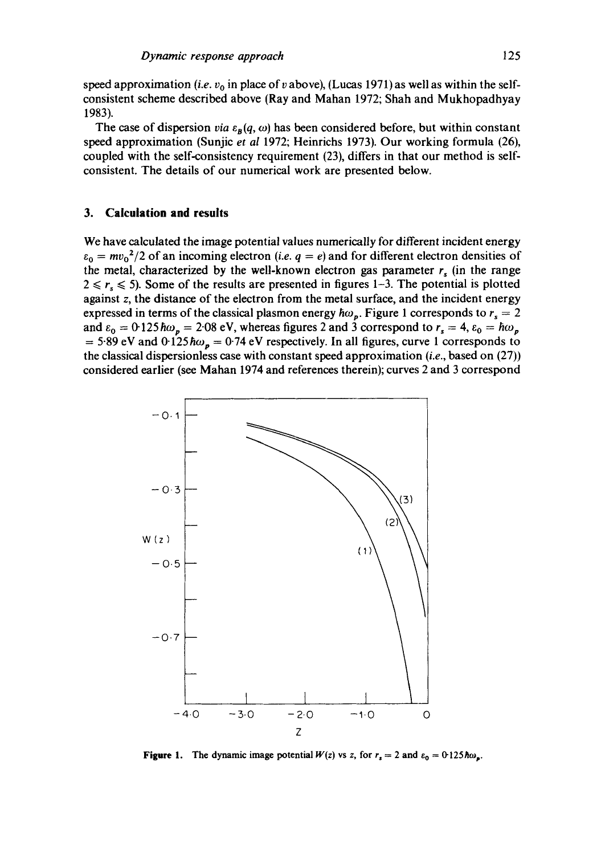speed approximation *(i.e. v<sub>0</sub>* in place of *v* above), (Lucas 1971) as well as within the selfconsistent scheme described above (Ray and Mahan 1972; Shah and Mukhopadhyay 1983).

The case of dispersion *via*  $\varepsilon_B(q, \omega)$  has been considered before, but within constant speed approximation (Sunjic *et al* 1972; Heinrichs 1973). Our working formula (26), coupled with the self-consistency requirement (23), differs in that our method is selfconsistent. The details of our numerical work are presented below.

## **3. Calculation and results**

We have calculated the image potential values numerically for different incident energy  $\varepsilon_0 = mv_0^2/2$  of an incoming electron *(i.e. q = e)* and for different electron densities of the metal, characterized by the well-known electron gas parameter  $r_s$  (in the range  $2 \le r_s \le 5$ ). Some of the results are presented in figures 1-3. The potential is plotted against z, the distance of the electron from the metal surface, and the incident energy expressed in terms of the classical plasmon energy  $\hbar\omega_p$ . Figure 1 corresponds to  $r_s = 2$ and  $\varepsilon_0 = 0.125 \hbar \omega_p = 2.08 \text{ eV}$ , whereas figures 2 and 3 correspond to  $r_s = 4$ ,  $\varepsilon_0 = \hbar \omega_p$ = 5.89 eV and  $0.125 \hbar \omega_p = 0.74$  eV respectively. In all figures, curve 1 corresponds to the classical dispersionless case with constant speed approximation *(i.e.,* based on (27)) considered earlier (see Mahan 1974 and references therein); curves 2 and 3 correspond



**Figure 1.** The dynamic image potential  $W(z)$  vs z, for  $r_s = 2$  and  $\varepsilon_0 = 0.125 \hbar \omega_s$ .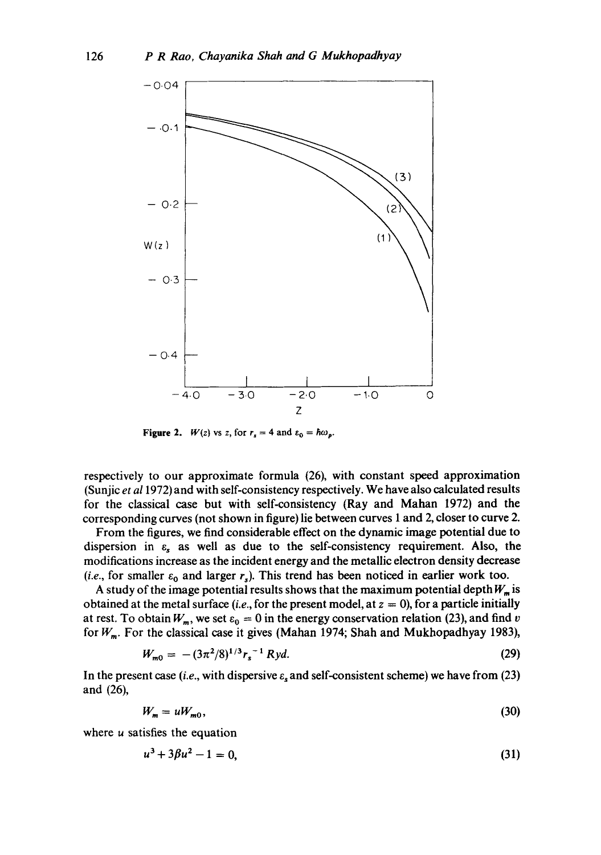

Figure 2. *W*(*z*) *vs z*, for  $r_s = 4$  and  $\varepsilon_0 = \hbar \omega_p$ .

respectively to our approximate formula (26), with constant speed approximation (Sunjic *et a11972)* and with self-consistency respectively. We have also calculated results for the classical case but with self-consistency (Ray and Mahan 1972) and the corresponding curves (not shown in figure) lie between curves 1 and 2, closer to curve 2.

From the figures, we find considerable effect on the dynamic image potential due to dispersion in  $\varepsilon$ <sub>s</sub> as well as due to the self-consistency requirement. Also, the modifications increase as the incident energy and the metallic electron density decrease (*i.e.*, for smaller  $\varepsilon_0$  and larger  $r_s$ ). This trend has been noticed in earlier work too.

A study of the image potential results shows that the maximum potential depth  $W_m$  is obtained at the metal surface *(i.e., for the present model, at*  $z = 0$ *), for a particle initially* at rest. To obtain  $W_m$ , we set  $\varepsilon_0 = 0$  in the energy conservation relation (23), and find v for *W<sub>m</sub>*. For the classical case it gives (Mahan 1974; Shah and Mukhopadhyay 1983),

$$
W_{m0} = -(3\pi^2/8)^{1/3} r_s^{-1} R y d. \tag{29}
$$

In the present case *(i.e.,* with dispersive e, and self-consistent scheme) we have from (23) and (26),

$$
W_m = uW_{m0},\tag{30}
$$

where *u* satisfies the equation

$$
u^3 + 3\beta u^2 - 1 = 0,\tag{31}
$$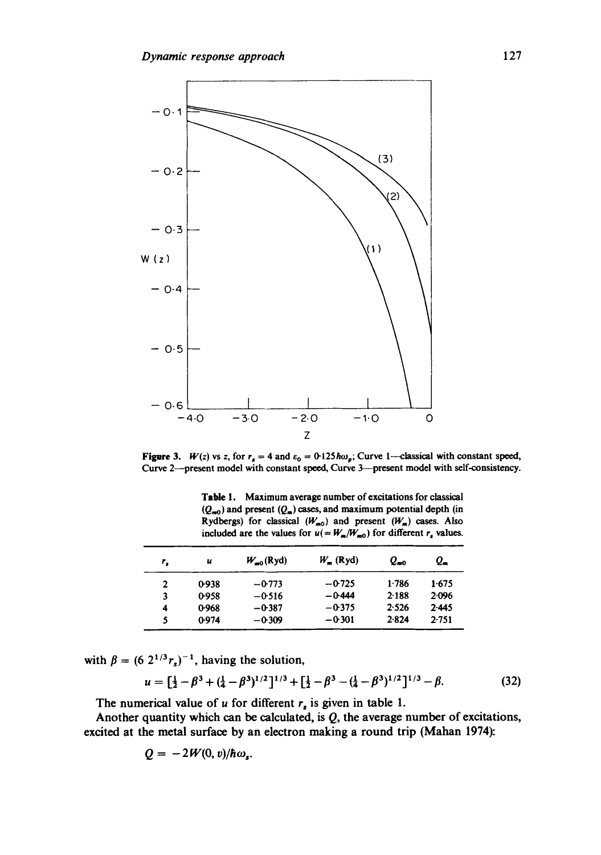

Figure 3. *W*(*z*) vs *z*, for  $r_s = 4$  and  $\varepsilon_0 = 0.125 \hbar \omega_p$ ; Curve 1—classical with constant speed, Curve 2--present model with constant speed, Curve 3--present model with self-consistency.

Table 1. Maximum average number of excitations for classical  $(Q_{m0})$  and present  $(Q_m)$  cases, and maximum potential depth (in Rydbergs) for classical  $(W_{m0})$  and present  $(W_m)$  cases. Also included are the values for  $u( = W_m/W_{m0})$  for different  $r_s$  values.

| r, | u     | $W_{\text{m}}(Ryd)$ | $W_m$ (Ryd) | 2то       | $Q_{\bullet}$ |
|----|-------|---------------------|-------------|-----------|---------------|
| 2  | 0.938 | $-0.773$            | $-0.725$    | 1.786     | 1.675         |
| 3  | 0.958 | $-0.516$            | $-0.444$    | $2 - 188$ | 2.096         |
| 4  | 0.968 | $-0.387$            | $-0.375$    | 2.526     | 2.445         |
|    | 0.974 | $-0.309$            | $-0.301$    | 2.824     | 2.751         |

with  $\beta = (6 \ 2^{1/3}r_s)^{-1}$ , having the solution,

$$
u = \left[\frac{1}{2} - \beta^3 + (\frac{1}{4} - \beta^3)^{1/2}\right]^{1/3} + \left[\frac{1}{2} - \beta^3 - (\frac{1}{4} - \beta^3)^{1/2}\right]^{1/3} - \beta. \tag{32}
$$

The numerical value of u for different  $r_s$  is given in table 1.

Another quantity which can be calculated, is  $Q$ , the average number of excitations, excited at the metal surface by an electron making a round trip (Mahan 1974):

$$
Q=-2W(0, v)/\hbar\omega_s.
$$